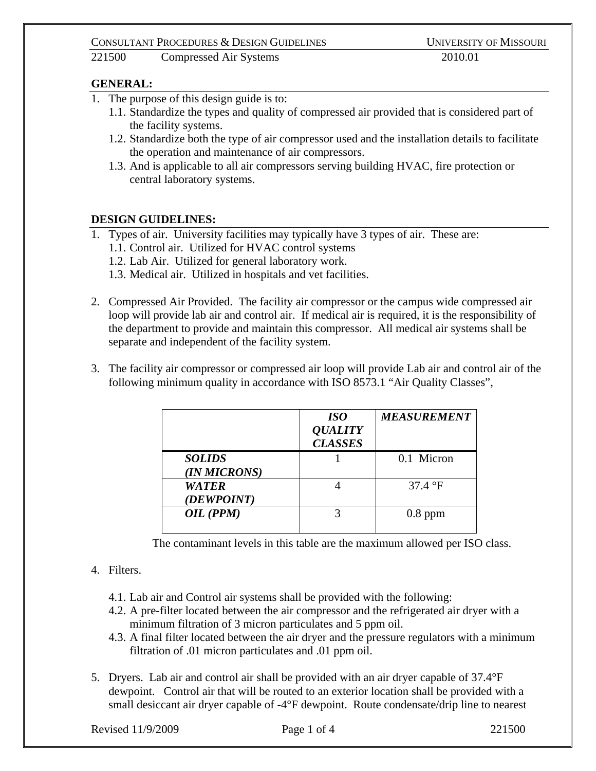### CONSULTANT PROCEDURES & DESIGN GUIDELINES UNIVERSITY OF MISSOURI

221500 Compressed Air Systems 2010.01

### **GENERAL:**

- 1. The purpose of this design guide is to:
	- 1.1. Standardize the types and quality of compressed air provided that is considered part of the facility systems.
	- 1.2. Standardize both the type of air compressor used and the installation details to facilitate the operation and maintenance of air compressors.
	- 1.3. And is applicable to all air compressors serving building HVAC, fire protection or central laboratory systems.

# **DESIGN GUIDELINES:**

- 1. Types of air. University facilities may typically have 3 types of air. These are: 1.1. Control air. Utilized for HVAC control systems 1.2. Lab Air. Utilized for general laboratory work.
	- 1.3. Medical air. Utilized in hospitals and vet facilities.
- 2. Compressed Air Provided. The facility air compressor or the campus wide compressed air loop will provide lab air and control air. If medical air is required, it is the responsibility of the department to provide and maintain this compressor. All medical air systems shall be separate and independent of the facility system.
- 3. The facility air compressor or compressed air loop will provide Lab air and control air of the following minimum quality in accordance with ISO 8573.1 "Air Quality Classes",

|                               | <i>ISO</i><br><b>QUALITY</b><br><b>CLASSES</b> | <b>MEASUREMENT</b> |
|-------------------------------|------------------------------------------------|--------------------|
| <b>SOLIDS</b><br>(IN MICRONS) |                                                | 0.1 Micron         |
| <b>WATER</b><br>(DEWPOINT)    |                                                | $37.4 \text{°F}$   |
| OIL (PPM)                     |                                                | $0.8$ ppm          |

The contaminant levels in this table are the maximum allowed per ISO class.

# 4. Filters.

- 4.1. Lab air and Control air systems shall be provided with the following:
- 4.2. A pre-filter located between the air compressor and the refrigerated air dryer with a minimum filtration of 3 micron particulates and 5 ppm oil.
- 4.3. A final filter located between the air dryer and the pressure regulators with a minimum filtration of .01 micron particulates and .01 ppm oil.
- 5. Dryers. Lab air and control air shall be provided with an air dryer capable of 37.4°F dewpoint. Control air that will be routed to an exterior location shall be provided with a small desiccant air dryer capable of -4°F dewpoint. Route condensate/drip line to nearest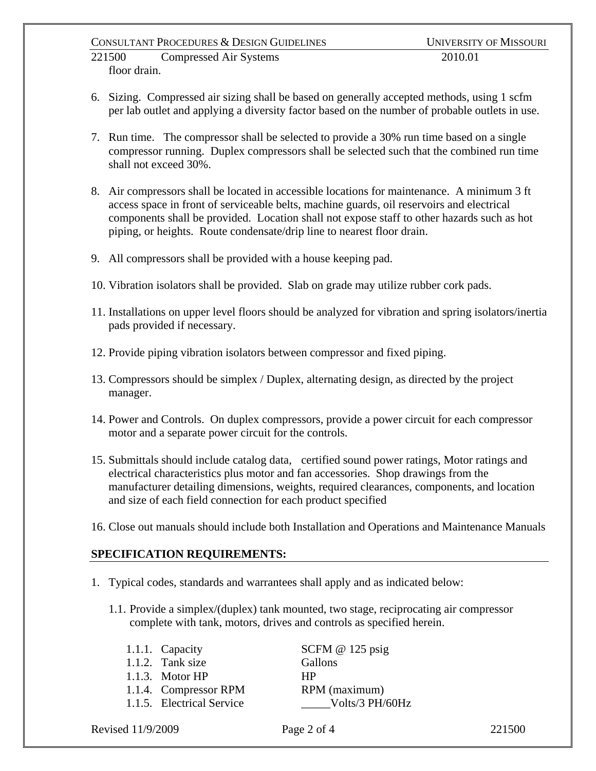### CONSULTANT PROCEDURES & DESIGN GUIDELINES UNIVERSITY OF MISSOURI

221500 Compressed Air Systems 2010.01 floor drain.

- 6. Sizing. Compressed air sizing shall be based on generally accepted methods, using 1 scfm per lab outlet and applying a diversity factor based on the number of probable outlets in use.
- 7. Run time. The compressor shall be selected to provide a 30% run time based on a single compressor running. Duplex compressors shall be selected such that the combined run time shall not exceed 30%.
- 8. Air compressors shall be located in accessible locations for maintenance. A minimum 3 ft access space in front of serviceable belts, machine guards, oil reservoirs and electrical components shall be provided. Location shall not expose staff to other hazards such as hot piping, or heights. Route condensate/drip line to nearest floor drain.
- 9. All compressors shall be provided with a house keeping pad.
- 10. Vibration isolators shall be provided. Slab on grade may utilize rubber cork pads.
- 11. Installations on upper level floors should be analyzed for vibration and spring isolators/inertia pads provided if necessary.
- 12. Provide piping vibration isolators between compressor and fixed piping.
- 13. Compressors should be simplex / Duplex, alternating design, as directed by the project manager.
- 14. Power and Controls. On duplex compressors, provide a power circuit for each compressor motor and a separate power circuit for the controls.
- 15. Submittals should include catalog data, certified sound power ratings, Motor ratings and electrical characteristics plus motor and fan accessories. Shop drawings from the manufacturer detailing dimensions, weights, required clearances, components, and location and size of each field connection for each product specified
- 16. Close out manuals should include both Installation and Operations and Maintenance Manuals

# **SPECIFICATION REQUIREMENTS:**

- 1. Typical codes, standards and warrantees shall apply and as indicated below:
	- 1.1. Provide a simplex/(duplex) tank mounted, two stage, reciprocating air compressor complete with tank, motors, drives and controls as specified herein.

| 1.1.1. Capacity           | SCFM $@$ 125 psig |
|---------------------------|-------------------|
| 1.1.2. Tank size          | Gallons           |
| $1.1.3.$ Motor HP         | HP                |
| 1.1.4. Compressor RPM     | RPM (maximum)     |
| 1.1.5. Electrical Service | Volts/3 PH/60Hz   |

Revised 11/9/2009 **Page 2 of 4** 221500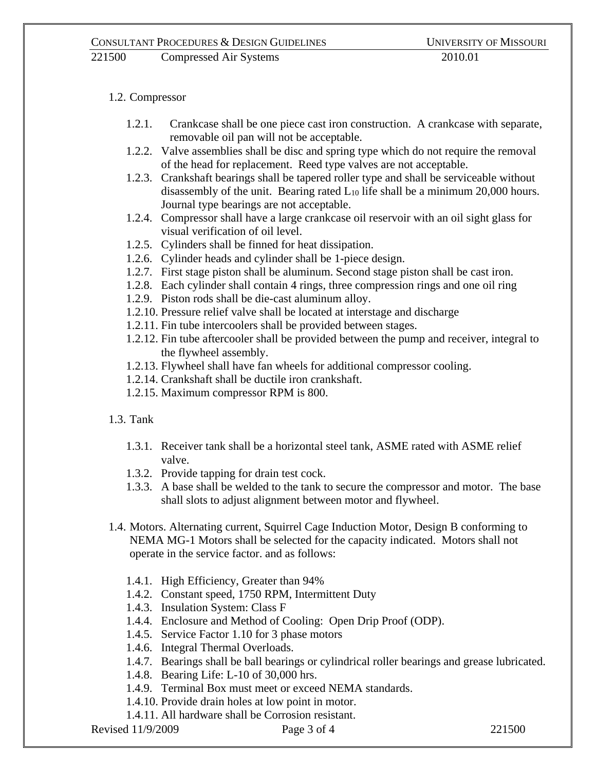221500 Compressed Air Systems 2010.01

# 1.2. Compressor

- 1.2.1. Crankcase shall be one piece cast iron construction. A crankcase with separate, removable oil pan will not be acceptable.
- 1.2.2. Valve assemblies shall be disc and spring type which do not require the removal of the head for replacement. Reed type valves are not acceptable.
- 1.2.3. Crankshaft bearings shall be tapered roller type and shall be serviceable without disassembly of the unit. Bearing rated  $L_{10}$  life shall be a minimum 20,000 hours. Journal type bearings are not acceptable.
- 1.2.4. Compressor shall have a large crankcase oil reservoir with an oil sight glass for visual verification of oil level.
- 1.2.5. Cylinders shall be finned for heat dissipation.
- 1.2.6. Cylinder heads and cylinder shall be 1-piece design.
- 1.2.7. First stage piston shall be aluminum. Second stage piston shall be cast iron.
- 1.2.8. Each cylinder shall contain 4 rings, three compression rings and one oil ring
- 1.2.9. Piston rods shall be die-cast aluminum alloy.
- 1.2.10. Pressure relief valve shall be located at interstage and discharge
- 1.2.11. Fin tube intercoolers shall be provided between stages.
- 1.2.12. Fin tube aftercooler shall be provided between the pump and receiver, integral to the flywheel assembly.
- 1.2.13. Flywheel shall have fan wheels for additional compressor cooling.
- 1.2.14. Crankshaft shall be ductile iron crankshaft.
- 1.2.15. Maximum compressor RPM is 800.
- 1.3. Tank
	- 1.3.1. Receiver tank shall be a horizontal steel tank, ASME rated with ASME relief valve.
	- 1.3.2. Provide tapping for drain test cock.
	- 1.3.3. A base shall be welded to the tank to secure the compressor and motor. The base shall slots to adjust alignment between motor and flywheel.
- 1.4. Motors. Alternating current, Squirrel Cage Induction Motor, Design B conforming to NEMA MG-1 Motors shall be selected for the capacity indicated. Motors shall not operate in the service factor. and as follows:
	- 1.4.1. High Efficiency, Greater than 94%
	- 1.4.2. Constant speed, 1750 RPM, Intermittent Duty
	- 1.4.3. Insulation System: Class F
	- 1.4.4. Enclosure and Method of Cooling: Open Drip Proof (ODP).
	- 1.4.5. Service Factor 1.10 for 3 phase motors
	- 1.4.6. Integral Thermal Overloads.
	- 1.4.7. Bearings shall be ball bearings or cylindrical roller bearings and grease lubricated.
	- 1.4.8. Bearing Life: L-10 of 30,000 hrs.
	- 1.4.9. Terminal Box must meet or exceed NEMA standards.
	- 1.4.10. Provide drain holes at low point in motor.
	- 1.4.11. All hardware shall be Corrosion resistant.

Revised 11/9/2009 Page 3 of 4 221500